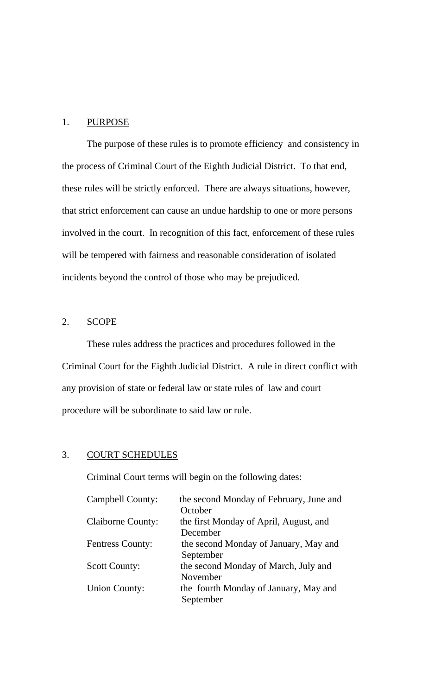## 1. PURPOSE

 The purpose of these rules is to promote efficiency and consistency in the process of Criminal Court of the Eighth Judicial District. To that end, these rules will be strictly enforced. There are always situations, however, that strict enforcement can cause an undue hardship to one or more persons involved in the court. In recognition of this fact, enforcement of these rules will be tempered with fairness and reasonable consideration of isolated incidents beyond the control of those who may be prejudiced.

## 2. SCOPE

These rules address the practices and procedures followed in the Criminal Court for the Eighth Judicial District. A rule in direct conflict with any provision of state or federal law or state rules of law and court procedure will be subordinate to said law or rule.

## 3. COURT SCHEDULES

Criminal Court terms will begin on the following dates:

| <b>Campbell County:</b>  | the second Monday of February, June and |  |
|--------------------------|-----------------------------------------|--|
|                          | October                                 |  |
| <b>Claiborne County:</b> | the first Monday of April, August, and  |  |
|                          | December                                |  |
| <b>Fentress County:</b>  | the second Monday of January, May and   |  |
|                          | September                               |  |
| <b>Scott County:</b>     | the second Monday of March, July and    |  |
|                          | November                                |  |
| <b>Union County:</b>     | the fourth Monday of January, May and   |  |
|                          | September                               |  |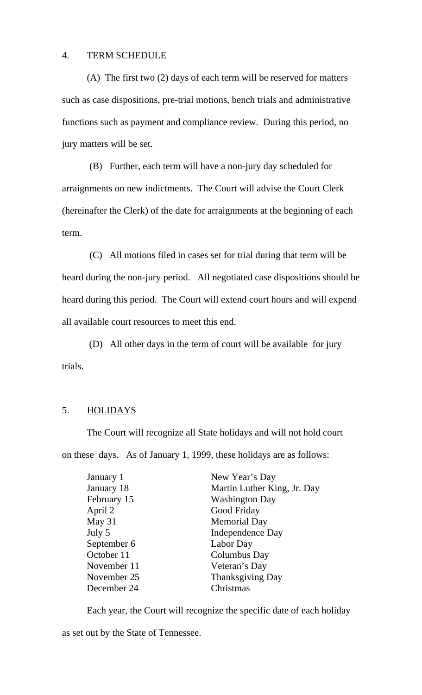## 4. TERM SCHEDULE

(A) The first two (2) days of each term will be reserved for matters such as case dispositions, pre-trial motions, bench trials and administrative functions such as payment and compliance review. During this period, no jury matters will be set.

(B) Further, each term will have a non-jury day scheduled for arraignments on new indictments. The Court will advise the Court Clerk (hereinafter the Clerk) of the date for arraignments at the beginning of each term.

(C) All motions filed in cases set for trial during that term will be heard during the non-jury period. All negotiated case dispositions should be heard during this period. The Court will extend court hours and will expend all available court resources to meet this end.

 (D) All other days in the term of court will be available for jury trials.

### 5. HOLIDAYS

The Court will recognize all State holidays and will not hold court on these days. As of January 1, 1999, these holidays are as follows:

| January 1   | New Year's Day              |
|-------------|-----------------------------|
| January 18  | Martin Luther King, Jr. Day |
| February 15 | <b>Washington Day</b>       |
| April 2     | Good Friday                 |
| May 31      | <b>Memorial Day</b>         |
| July 5      | Independence Day            |
| September 6 | Labor Day                   |
| October 11  | Columbus Day                |
| November 11 | Veteran's Day               |
| November 25 | Thanksgiving Day            |
| December 24 | Christmas                   |
|             |                             |

Each year, the Court will recognize the specific date of each holiday

as set out by the State of Tennessee.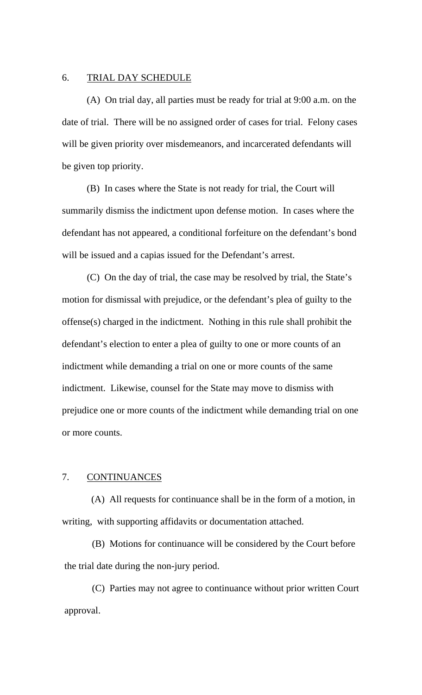#### 6. TRIAL DAY SCHEDULE

 (A) On trial day, all parties must be ready for trial at 9:00 a.m. on the date of trial. There will be no assigned order of cases for trial. Felony cases will be given priority over misdemeanors, and incarcerated defendants will be given top priority.

 (B) In cases where the State is not ready for trial, the Court will summarily dismiss the indictment upon defense motion. In cases where the defendant has not appeared, a conditional forfeiture on the defendant's bond will be issued and a capias issued for the Defendant's arrest.

 (C) On the day of trial, the case may be resolved by trial, the State's motion for dismissal with prejudice, or the defendant's plea of guilty to the offense(s) charged in the indictment. Nothing in this rule shall prohibit the defendant's election to enter a plea of guilty to one or more counts of an indictment while demanding a trial on one or more counts of the same indictment. Likewise, counsel for the State may move to dismiss with prejudice one or more counts of the indictment while demanding trial on one or more counts.

#### 7. CONTINUANCES

(A) All requests for continuance shall be in the form of a motion, in writing, with supporting affidavits or documentation attached.

(B) Motions for continuance will be considered by the Court before the trial date during the non-jury period.

(C) Parties may not agree to continuance without prior written Court approval.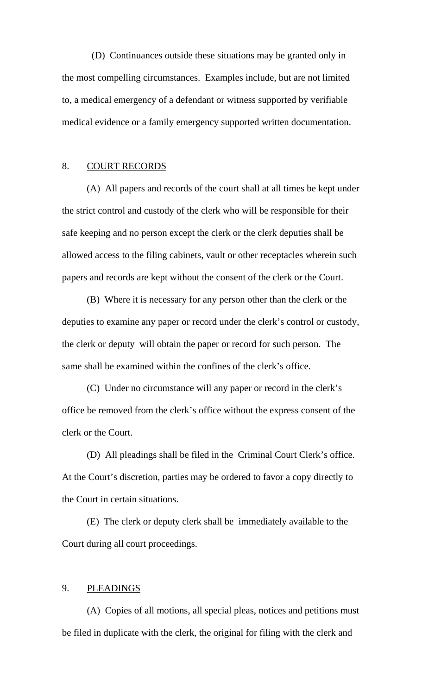(D) Continuances outside these situations may be granted only in the most compelling circumstances. Examples include, but are not limited to, a medical emergency of a defendant or witness supported by verifiable medical evidence or a family emergency supported written documentation.

## 8. COURT RECORDS

 (A) All papers and records of the court shall at all times be kept under the strict control and custody of the clerk who will be responsible for their safe keeping and no person except the clerk or the clerk deputies shall be allowed access to the filing cabinets, vault or other receptacles wherein such papers and records are kept without the consent of the clerk or the Court.

 (B) Where it is necessary for any person other than the clerk or the deputies to examine any paper or record under the clerk's control or custody, the clerk or deputy will obtain the paper or record for such person. The same shall be examined within the confines of the clerk's office.

 (C) Under no circumstance will any paper or record in the clerk's office be removed from the clerk's office without the express consent of the clerk or the Court.

 (D) All pleadings shall be filed in the Criminal Court Clerk's office. At the Court's discretion, parties may be ordered to favor a copy directly to the Court in certain situations.

 (E) The clerk or deputy clerk shall be immediately available to the Court during all court proceedings.

#### 9. PLEADINGS

(A) Copies of all motions, all special pleas, notices and petitions must be filed in duplicate with the clerk, the original for filing with the clerk and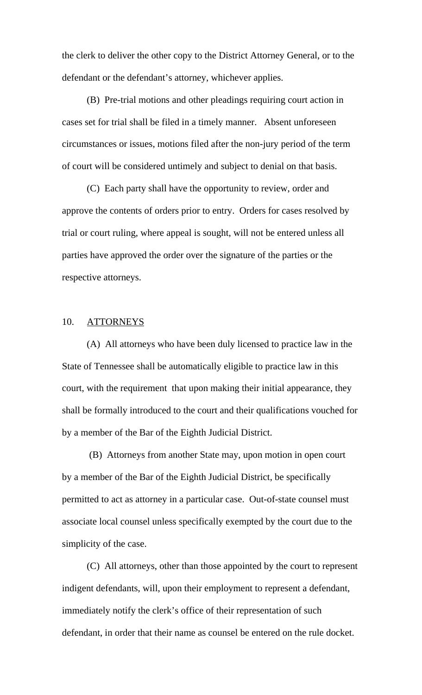the clerk to deliver the other copy to the District Attorney General, or to the defendant or the defendant's attorney, whichever applies.

(B) Pre-trial motions and other pleadings requiring court action in cases set for trial shall be filed in a timely manner. Absent unforeseen circumstances or issues, motions filed after the non-jury period of the term of court will be considered untimely and subject to denial on that basis.

 (C) Each party shall have the opportunity to review, order and approve the contents of orders prior to entry. Orders for cases resolved by trial or court ruling, where appeal is sought, will not be entered unless all parties have approved the order over the signature of the parties or the respective attorneys.

## 10. ATTORNEYS

 (A) All attorneys who have been duly licensed to practice law in the State of Tennessee shall be automatically eligible to practice law in this court, with the requirement that upon making their initial appearance, they shall be formally introduced to the court and their qualifications vouched for by a member of the Bar of the Eighth Judicial District.

 (B) Attorneys from another State may, upon motion in open court by a member of the Bar of the Eighth Judicial District, be specifically permitted to act as attorney in a particular case. Out-of-state counsel must associate local counsel unless specifically exempted by the court due to the simplicity of the case.

 (C) All attorneys, other than those appointed by the court to represent indigent defendants, will, upon their employment to represent a defendant, immediately notify the clerk's office of their representation of such defendant, in order that their name as counsel be entered on the rule docket.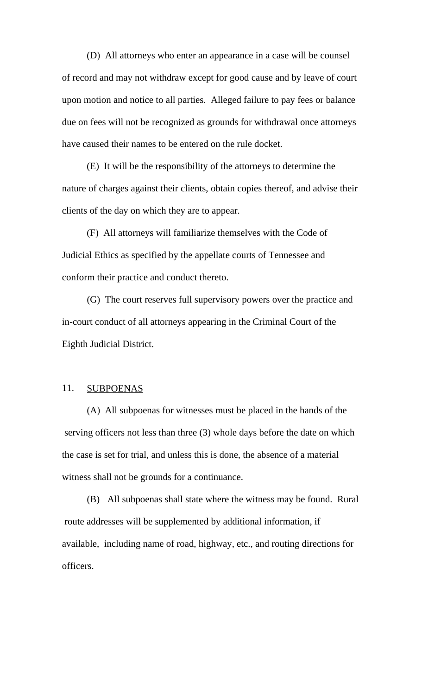(D) All attorneys who enter an appearance in a case will be counsel of record and may not withdraw except for good cause and by leave of court upon motion and notice to all parties. Alleged failure to pay fees or balance due on fees will not be recognized as grounds for withdrawal once attorneys have caused their names to be entered on the rule docket.

 (E) It will be the responsibility of the attorneys to determine the nature of charges against their clients, obtain copies thereof, and advise their clients of the day on which they are to appear.

 (F) All attorneys will familiarize themselves with the Code of Judicial Ethics as specified by the appellate courts of Tennessee and conform their practice and conduct thereto.

(G) The court reserves full supervisory powers over the practice and in-court conduct of all attorneys appearing in the Criminal Court of the Eighth Judicial District.

## 11. SUBPOENAS

(A) All subpoenas for witnesses must be placed in the hands of the serving officers not less than three (3) whole days before the date on which the case is set for trial, and unless this is done, the absence of a material witness shall not be grounds for a continuance.

(B) All subpoenas shall state where the witness may be found. Rural route addresses will be supplemented by additional information, if available, including name of road, highway, etc., and routing directions for officers.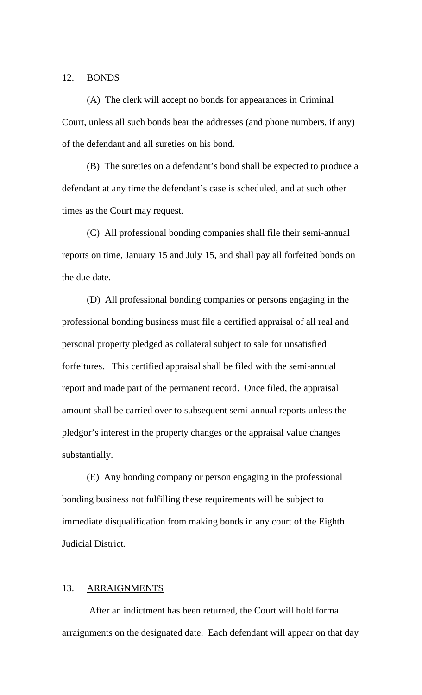#### 12. BONDS

 (A) The clerk will accept no bonds for appearances in Criminal Court, unless all such bonds bear the addresses (and phone numbers, if any) of the defendant and all sureties on his bond.

 (B) The sureties on a defendant's bond shall be expected to produce a defendant at any time the defendant's case is scheduled, and at such other times as the Court may request.

 (C) All professional bonding companies shall file their semi-annual reports on time, January 15 and July 15, and shall pay all forfeited bonds on the due date.

 (D) All professional bonding companies or persons engaging in the professional bonding business must file a certified appraisal of all real and personal property pledged as collateral subject to sale for unsatisfied forfeitures. This certified appraisal shall be filed with the semi-annual report and made part of the permanent record. Once filed, the appraisal amount shall be carried over to subsequent semi-annual reports unless the pledgor's interest in the property changes or the appraisal value changes substantially.

 (E) Any bonding company or person engaging in the professional bonding business not fulfilling these requirements will be subject to immediate disqualification from making bonds in any court of the Eighth Judicial District.

#### 13. ARRAIGNMENTS

 After an indictment has been returned, the Court will hold formal arraignments on the designated date. Each defendant will appear on that day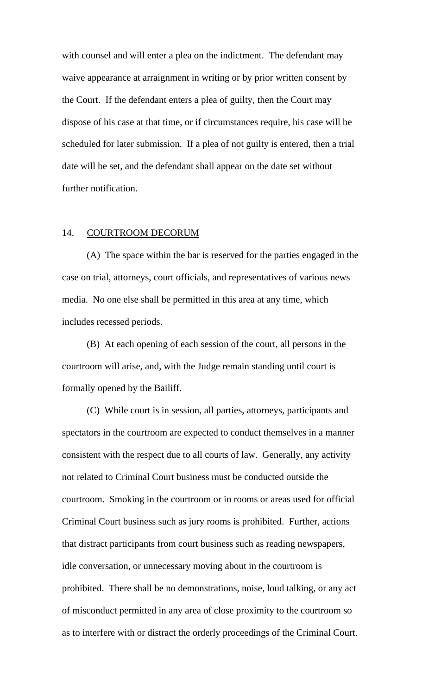with counsel and will enter a plea on the indictment. The defendant may waive appearance at arraignment in writing or by prior written consent by the Court. If the defendant enters a plea of guilty, then the Court may dispose of his case at that time, or if circumstances require, his case will be scheduled for later submission. If a plea of not guilty is entered, then a trial date will be set, and the defendant shall appear on the date set without further notification.

## 14. COURTROOM DECORUM

 (A) The space within the bar is reserved for the parties engaged in the case on trial, attorneys, court officials, and representatives of various news media. No one else shall be permitted in this area at any time, which includes recessed periods.

 (B) At each opening of each session of the court, all persons in the courtroom will arise, and, with the Judge remain standing until court is formally opened by the Bailiff.

 (C) While court is in session, all parties, attorneys, participants and spectators in the courtroom are expected to conduct themselves in a manner consistent with the respect due to all courts of law. Generally, any activity not related to Criminal Court business must be conducted outside the courtroom. Smoking in the courtroom or in rooms or areas used for official Criminal Court business such as jury rooms is prohibited. Further, actions that distract participants from court business such as reading newspapers, idle conversation, or unnecessary moving about in the courtroom is prohibited. There shall be no demonstrations, noise, loud talking, or any act of misconduct permitted in any area of close proximity to the courtroom so as to interfere with or distract the orderly proceedings of the Criminal Court.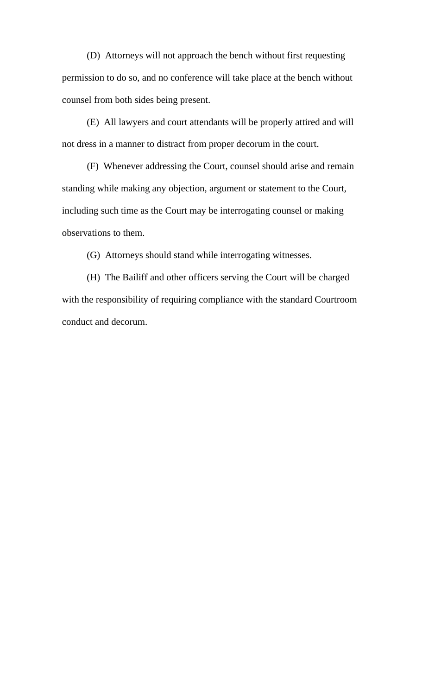(D) Attorneys will not approach the bench without first requesting permission to do so, and no conference will take place at the bench without counsel from both sides being present.

 (E) All lawyers and court attendants will be properly attired and will not dress in a manner to distract from proper decorum in the court.

 (F) Whenever addressing the Court, counsel should arise and remain standing while making any objection, argument or statement to the Court, including such time as the Court may be interrogating counsel or making observations to them.

(G) Attorneys should stand while interrogating witnesses.

 (H) The Bailiff and other officers serving the Court will be charged with the responsibility of requiring compliance with the standard Courtroom conduct and decorum.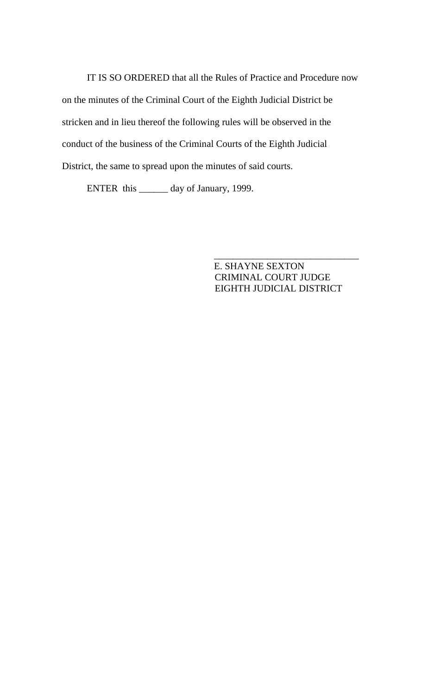IT IS SO ORDERED that all the Rules of Practice and Procedure now on the minutes of the Criminal Court of the Eighth Judicial District be stricken and in lieu thereof the following rules will be observed in the conduct of the business of the Criminal Courts of the Eighth Judicial District, the same to spread upon the minutes of said courts.

 $\frac{1}{\sqrt{2\pi}}$  , which is a set of the set of the set of the set of the set of the set of the set of the set of the set of the set of the set of the set of the set of the set of the set of the set of the set of the set of

ENTER this \_\_\_\_\_\_ day of January, 1999.

 E. SHAYNE SEXTON CRIMINAL COURT JUDGE EIGHTH JUDICIAL DISTRICT